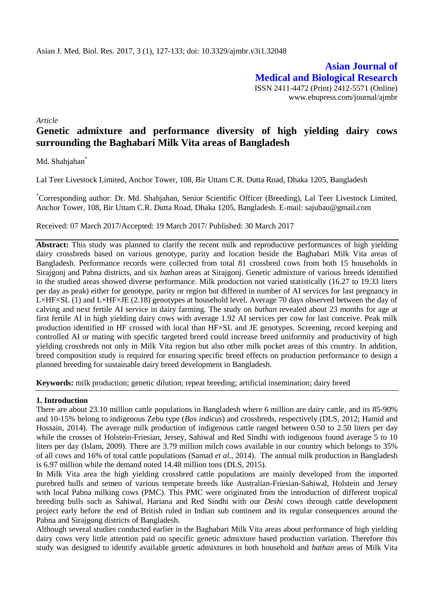**Asian Journal of Medical and Biological Research** ISSN 2411-4472 (Print) 2412-5571 (Online) www.ebupress.com/journal/ajmbr

*Article*

# **Genetic admixture and performance diversity of high yielding dairy cows surrounding the Baghabari Milk Vita areas of Bangladesh**

Md. Shahjahan<sup>\*</sup>

Lal Teer Livestock Limited, Anchor Tower, 108, Bir Uttam C.R. Dutta Road, Dhaka 1205, Bangladesh

\*Corresponding author: Dr. Md. Shahjahan, Senior Scientific Officer (Breeding), Lal Teer Livestock Limited, Anchor Tower, 108, Bir Uttam C.R. Dutta Road, Dhaka 1205, Bangladesh. E-mail: [sajubau@gmail.com](mailto:sajubau@gmail.com)

Received: 07 March 2017/Accepted: 19 March 2017/ Published: 30 March 2017

**Abstract:** This study was planned to clarify the recent milk and reproductive performances of high yielding dairy crossbreds based on various genotype, parity and location beside the Baghabari Milk Vita areas of Bangladesh. Performance records were collected from total 81 crossbred cows from both 15 households in Sirajgonj and Pabna districts, and six *bathan* areas at Sirajgonj. Genetic admixture of various breeds identified in the studied areas showed diverse performance. Milk production not varied statistically (16.27 to 19.33 liters per day as peak) either for genotype, parity or region but differed in number of AI services for last pregnancy in L×HF×SL (1) and L×HF×JE (2.18) genotypes at household level. Average 70 days observed between the day of calving and next fertile AI service in dairy farming. The study on *bathan* revealed about 23 months for age at first fertile AI in high yielding dairy cows with average 1.92 AI services per cow for last conceive. Peak milk production identified in HF crossed with local than HF×SL and JE genotypes. Screening, record keeping and controlled AI or mating with specific targeted breed could increase breed uniformity and productivity of high yielding crossbreds not only in Milk Vita region but also other milk pocket areas of this country. In addition, breed composition study is required for ensuring specific breed effects on production performance to design a planned breeding for sustainable dairy breed development in Bangladesh.

**Keywords:** milk production; genetic dilution; repeat breeding; artificial insemination; dairy breed

#### **1. Introduction**

There are about 23.10 million cattle populations in Bangladesh where 6 million are dairy cattle, and its 85-90% and 10-15% belong to indigenous Zebu type (*Bos indicus*) and crossbreds, respectively (DLS, 2012; Hamid and Hossain, 2014). The average milk production of indigenous cattle ranged between 0.50 to 2.50 liters per day while the crosses of Holstein-Friesian, Jersey, Sahiwal and Red Sindhi with indigenous found average 5 to 10 liters per day (Islam, 2009). There are 3.79 million milch cows available in our country which belongs to 35% of all cows and 16% of total cattle populations (Samad *et al.*, 2014). The annual milk production in Bangladesh is 6.97 million while the demand noted 14.48 million tons (DLS, 2015).

In Milk Vita area the high yielding crossbred cattle populations are mainly developed from the imported purebred bulls and semen of various temperate breeds like Australian-Friesian-Sahiwal, Holstein and Jersey with local Pabna milking cows (PMC). This PMC were originated from the introduction of different tropical breeding bulls such as Sahiwal, Hariana and Red Sindhi with our *Deshi* cows through cattle development project early before the end of British ruled in Indian sub continent and its regular consequences around the Pabna and Sirajgong districts of Bangladesh.

Although several studies conducted earlier in the Baghabari Milk Vita areas about performance of high yielding dairy cows very little attention paid on specific genetic admixture based production variation. Therefore this study was designed to identify available genetic admixtures in both household and *bathan* areas of Milk Vita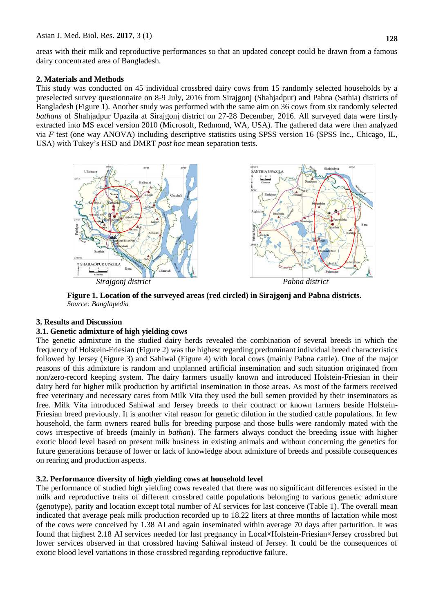areas with their milk and reproductive performances so that an updated concept could be drawn from a famous dairy concentrated area of Bangladesh.

# **2. Materials and Methods**

This study was conducted on 45 individual crossbred dairy cows from 15 randomly selected households by a preselected survey questionnaire on 8-9 July, 2016 from Sirajgonj (Shahjadpur) and Pabna (Sathia) districts of Bangladesh (Figure 1). Another study was performed with the same aim on 36 cows from six randomly selected *bathans* of Shahjadpur Upazila at Sirajgonj district on 27-28 December, 2016. All surveyed data were firstly extracted into MS excel version 2010 (Microsoft, Redmond, WA, USA). The gathered data were then analyzed via *F* test (one way ANOVA) including descriptive statistics using SPSS version 16 (SPSS Inc., Chicago, IL, USA) with Tukey's HSD and DMRT *post hoc* mean separation tests.



**Figure 1. Location of the surveyed areas (red circled) in Sirajgonj and Pabna districts.**  *Source: Banglapedia*

# **3. Results and Discussion**

# **3.1. Genetic admixture of high yielding cows**

The genetic admixture in the studied dairy herds revealed the combination of several breeds in which the frequency of Holstein-Friesian (Figure 2) was the highest regarding predominant individual breed characteristics followed by Jersey (Figure 3) and Sahiwal (Figure 4) with local cows (mainly Pabna cattle). One of the major reasons of this admixture is random and unplanned artificial insemination and such situation originated from non/zero-record keeping system. The dairy farmers usually known and introduced Holstein-Friesian in their dairy herd for higher milk production by artificial insemination in those areas. As most of the farmers received free veterinary and necessary cares from Milk Vita they used the bull semen provided by their inseminators as free. Milk Vita introduced Sahiwal and Jersey breeds to their contract or known farmers beside Holstein-Friesian breed previously. It is another vital reason for genetic dilution in the studied cattle populations. In few household, the farm owners reared bulls for breeding purpose and those bulls were randomly mated with the cows irrespective of breeds (mainly in *bathan*). The farmers always conduct the breeding issue with higher exotic blood level based on present milk business in existing animals and without concerning the genetics for future generations because of lower or lack of knowledge about admixture of breeds and possible consequences on rearing and production aspects.

# **3.2. Performance diversity of high yielding cows at household level**

The performance of studied high yielding cows revealed that there was no significant differences existed in the milk and reproductive traits of different crossbred cattle populations belonging to various genetic admixture (genotype), parity and location except total number of AI services for last conceive (Table 1). The overall mean indicated that average peak milk production recorded up to 18.22 liters at three months of lactation while most of the cows were conceived by 1.38 AI and again inseminated within average 70 days after parturition. It was found that highest 2.18 AI services needed for last pregnancy in Local×Holstein-Friesian×Jersey crossbred but lower services observed in that crossbred having Sahiwal instead of Jersey. It could be the consequences of exotic blood level variations in those crossbred regarding reproductive failure.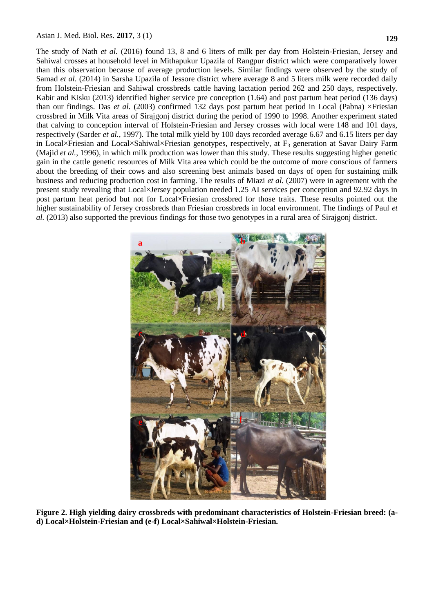Asian J. Med. Biol. Res. **2017**, 3 (1)

The study of Nath *et al.* (2016) found 13, 8 and 6 liters of milk per day from Holstein-Friesian, Jersey and Sahiwal crosses at household level in Mithapukur Upazila of Rangpur district which were comparatively lower than this observation because of average production levels. Similar findings were observed by the study of Samad *et al.* (2014) in Sarsha Upazila of Jessore district where average 8 and 5 liters milk were recorded daily from Holstein-Friesian and Sahiwal crossbreds cattle having lactation period 262 and 250 days, respectively. Kabir and Kisku (2013) identified higher service pre conception (1.64) and post partum heat period (136 days) than our findings. Das et al. (2003) confirmed 132 days post partum heat period in Local (Pabna) ×Friesian crossbred in Milk Vita areas of Sirajgonj district during the period of 1990 to 1998. Another experiment stated that calving to conception interval of Holstein-Friesian and Jersey crosses with local were 148 and 101 days, respectively (Sarder *et al.*, 1997). The total milk yield by 100 days recorded average 6.67 and 6.15 liters per day in Local×Friesian and Local×Sahiwal×Friesian genotypes, respectively, at  $F_3$  generation at Savar Dairy Farm (Majid *et al.*, 1996), in which milk production was lower than this study. These results suggesting higher genetic gain in the cattle genetic resources of Milk Vita area which could be the outcome of more conscious of farmers about the breeding of their cows and also screening best animals based on days of open for sustaining milk business and reducing production cost in farming. The results of Miazi *et al.* (2007) were in agreement with the present study revealing that Local×Jersey population needed 1.25 AI services per conception and 92.92 days in post partum heat period but not for Local×Friesian crossbred for those traits. These results pointed out the higher sustainability of Jersey crossbreds than Friesian crossbreds in local environment. The findings of Paul *et al.* (2013) also supported the previous findings for those two genotypes in a rural area of Sirajgonj district.



**Figure 2. High yielding dairy crossbreds with predominant characteristics of Holstein-Friesian breed: (ad) Local×Holstein-Friesian and (e-f) Local×Sahiwal×Holstein-Friesian.**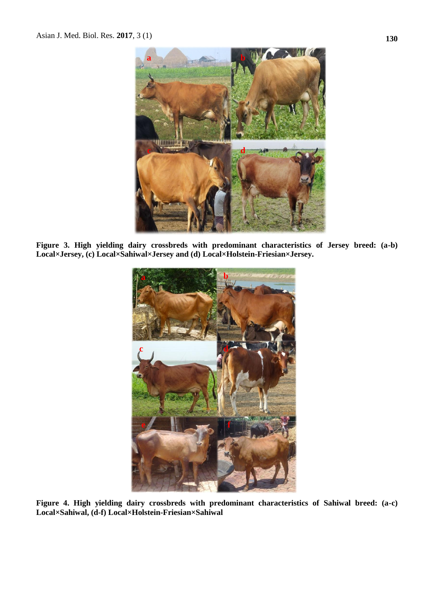

**Figure 3. High yielding dairy crossbreds with predominant characteristics of Jersey breed: (a-b) Local×Jersey, (c) Local×Sahiwal×Jersey and (d) Local×Holstein-Friesian×Jersey.**



**Figure 4. High yielding dairy crossbreds with predominant characteristics of Sahiwal breed: (a-c) Local×Sahiwal, (d-f) Local×Holstein-Friesian×Sahiwal**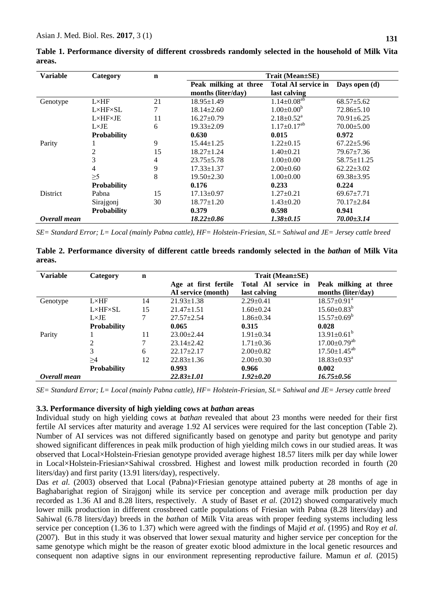| <b>Variable</b> | Category                | $\mathbf n$ | Trait (Mean±SE)       |                               |                   |  |  |
|-----------------|-------------------------|-------------|-----------------------|-------------------------------|-------------------|--|--|
|                 |                         |             | Peak milking at three | <b>Total AI service in</b>    | Days open (d)     |  |  |
|                 |                         |             | months (liter/day)    | last calving                  |                   |  |  |
| Genotype        | $L \times HF$           | 21          | $18.95 \pm 1.49$      | $1.14 \pm 0.08^{ab}$          | $68.57 \pm 5.62$  |  |  |
|                 | $L \times HF \times SL$ | 7           | $18.14 \pm 2.60$      | $1.00 \pm 0.00^b$             | $72.86 \pm 5.10$  |  |  |
|                 | L×HF×JE                 | 11          | $16.27 \pm 0.79$      | $2.18 \pm 0.52^a$             | $70.91 \pm 6.25$  |  |  |
|                 | $L \times JE$           | 6           | $19.33 \pm 2.09$      | $1.17 \pm 0.17$ <sup>ab</sup> | $70.00 \pm 5.00$  |  |  |
|                 | <b>Probability</b>      |             | 0.630                 | 0.015                         | 0.972             |  |  |
| Parity          |                         | 9           | $15.44 \pm 1.25$      | $1.22 \pm 0.15$               | $67.22 \pm 5.96$  |  |  |
|                 | 2                       | 15          | $18.27 \pm 1.24$      | $1.40 \pm 0.21$               | $79.67 \pm 7.36$  |  |  |
|                 | 3                       | 4           | $23.75 \pm 5.78$      | $1.00 \pm 0.00$               | $58.75 \pm 11.25$ |  |  |
|                 | $\overline{4}$          | 9           | $17.33 \pm 1.37$      | $2.00\pm0.60$                 | $62.22 \pm 3.02$  |  |  |
|                 | $\geq 5$                | 8           | $19.50 \pm 2.30$      | $1.00 \pm 0.00$               | $69.38 \pm 3.95$  |  |  |
|                 | <b>Probability</b>      |             | 0.176                 | 0.233                         | 0.224             |  |  |
| <b>District</b> | Pabna                   | 15          | $17.13 \pm 0.97$      | $1.27 \pm 0.21$               | $69.67 \pm 7.71$  |  |  |
|                 | Sirajgonj               | 30          | $18.77 \pm 1.20$      | $1.43 \pm 0.20$               | $70.17 \pm 2.84$  |  |  |
|                 | <b>Probability</b>      |             | 0.379                 | 0.598                         | 0.941             |  |  |
| Overall mean    |                         |             | $18.22 \pm 0.86$      | $1.38 \pm 0.15$               | $70.00 \pm 3.14$  |  |  |

**Table 1. Performance diversity of different crossbreds randomly selected in the household of Milk Vita areas.**

*SE= Standard Error; L= Local (mainly Pabna cattle), HF= Holstein-Friesian, SL= Sahiwal and JE= Jersey cattle breed*

**Table 2. Performance diversity of different cattle breeds randomly selected in the** *bathan* **of Milk Vita areas.**

| <b>Variable</b> | Category                | n  | $Train (Mean \pm SE)$ |                     |                                |
|-----------------|-------------------------|----|-----------------------|---------------------|--------------------------------|
|                 |                         |    | Age at first fertile  | Total AI service in | Peak milking at three          |
|                 |                         |    | AI service (month)    | last calving        | months (liter/day)             |
| Genotype        | $L \times HF$           | 14 | $21.93 \pm 1.38$      | $2.29 \pm 0.41$     | $18.57 \pm 0.91$ <sup>a</sup>  |
|                 | $L \times HF \times SL$ | 15 | $21.47 \pm 1.51$      | $1.60 \pm 0.24$     | $15.60 \pm 0.83^b$             |
|                 | $L \times JE$           | 7  | $27.57 \pm 2.54$      | $1.86 \pm 0.34$     | $15.57 \pm 0.69^b$             |
|                 | <b>Probability</b>      |    | 0.065                 | 0.315               | 0.028                          |
| Parity          |                         | 11 | $23.00 \pm 2.44$      | $1.91 \pm 0.34$     | $13.91 \pm 0.61^{\circ}$       |
|                 |                         | 7  | $23.14 \pm 2.42$      | $1.71 \pm 0.36$     | $17.00 \pm 0.79$ <sup>ab</sup> |
|                 | 3                       | 6  | $22.17 \pm 2.17$      | $2.00 \pm 0.82$     | $17.50 \pm 1.45^{ab}$          |
|                 | $\geq$ 4                | 12 | $22.83 \pm 1.36$      | $2.00 \pm 0.30$     | $18.83 \pm 0.93^{\text{a}}$    |
|                 | <b>Probability</b>      |    | 0.993                 | 0.966               | 0.002                          |
| Overall mean    |                         |    | $22.83 \pm 1.01$      | $1.92 \pm 0.20$     | $16.75 \pm 0.56$               |

*SE= Standard Error; L= Local (mainly Pabna cattle), HF= Holstein-Friesian, SL= Sahiwal and JE= Jersey cattle breed*

#### **3.3. Performance diversity of high yielding cows at** *bathan* **areas**

Individual study on high yielding cows at *bathan* revealed that about 23 months were needed for their first fertile AI services after maturity and average 1.92 AI services were required for the last conception (Table 2). Number of AI services was not differed significantly based on genotype and parity but genotype and parity showed significant differences in peak milk production of high yielding milch cows in our studied areas. It was observed that Local×Holstein-Friesian genotype provided average highest 18.57 liters milk per day while lower in Local×Holstein-Friesian×Sahiwal crossbred. Highest and lowest milk production recorded in fourth (20 liters/day) and first parity (13.91 liters/day), respectively.

Das *et al.* (2003) observed that Local (Pabna)×Friesian genotype attained puberty at 28 months of age in Baghabarighat region of Sirajgonj while its service per conception and average milk production per day recorded as 1.36 AI and 8.28 liters, respectively. A study of Baset *et al.* (2012) showed comparatively much lower milk production in different crossbreed cattle populations of Friesian with Pabna (8.28 liters/day) and Sahiwal (6.78 liters/day) breeds in the *bathan* of Milk Vita areas with proper feeding systems including less service per conception (1.36 to 1.37) which were agreed with the findings of Majid *et al.* (1995) and Roy *et al.* (2007). But in this study it was observed that lower sexual maturity and higher service per conception for the same genotype which might be the reason of greater exotic blood admixture in the local genetic resources and consequent non adaptive signs in our environment representing reproductive failure. Mamun *et al.* (2015)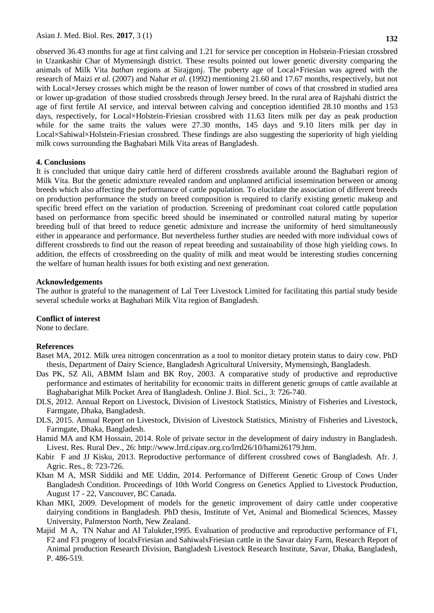**132**

observed 36.43 months for age at first calving and 1.21 for service per conception in Holstein-Friesian crossbred in Uzankashir Char of Mymensingh district. These results pointed out lower genetic diversity comparing the animals of Milk Vita *bathan* regions at Sirajgonj. The puberty age of Local×Friesian was agreed with the research of Maizi *et al.* (2007) and Nahar *et al.* (1992) mentioning 21.60 and 17.67 months, respectively, but not with Local×Jersey crosses which might be the reason of lower number of cows of that crossbred in studied area or lower up-gradation of those studied crossbreds through Jersey breed. In the rural area of Rajshahi district the age of first fertile AI service, and interval between calving and conception identified 28.10 months and 153 days, respectively, for Local×Holstein-Friesian crossbred with 11.63 liters milk per day as peak production while for the same traits the values were 27.30 months, 145 days and 9.10 liters milk per day in Local×Sahiwal×Holstein-Friesian crossbred. These findings are also suggesting the superiority of high yielding milk cows surrounding the Baghabari Milk Vita areas of Bangladesh.

#### **4. Conclusions**

It is concluded that unique dairy cattle herd of different crossbreds available around the Baghabari region of Milk Vita. But the genetic admixture revealed random and unplanned artificial insemination between or among breeds which also affecting the performance of cattle population. To elucidate the association of different breeds on production performance the study on breed composition is required to clarify existing genetic makeup and specific breed effect on the variation of production. Screening of predominant coat colored cattle population based on performance from specific breed should be inseminated or controlled natural mating by superior breeding bull of that breed to reduce genetic admixture and increase the uniformity of herd simultaneously either in appearance and performance. But nevertheless further studies are needed with more individual cows of different crossbreds to find out the reason of repeat breeding and sustainability of those high yielding cows. In addition, the effects of crossbreeding on the quality of milk and meat would be interesting studies concerning the welfare of human health issues for both existing and next generation.

#### **Acknowledgements**

The author is grateful to the management of Lal Teer Livestock Limited for facilitating this partial study beside several schedule works at Baghabari Milk Vita region of Bangladesh.

#### **Conflict of interest**

None to declare.

# **References**

- Baset MA, 2012. Milk urea nitrogen concentration as a tool to monitor dietary protein status to dairy cow. PhD thesis, Department of Dairy Science, Bangladesh Agricultural University, Mymensingh, Bangladesh.
- Das PK, SZ Ali, ABMM Islam and BK Roy, 2003. A comparative study of productive and reproductive performance and estimates of heritability for economic traits in different genetic groups of cattle available at Baghabarighat Milk Pocket Area of Bangladesh. Online J. Biol. Sci., 3: 726-740.
- DLS, 2012. Annual Report on Livestock, Division of Livestock Statistics, Ministry of Fisheries and Livestock, Farmgate, Dhaka, Bangladesh.
- DLS, 2015. Annual Report on Livestock, Division of Livestock Statistics, Ministry of Fisheries and Livestock, Farmgate, Dhaka, Bangladesh.
- Hamid MA and KM Hossain, 2014. Role of private sector in the development of dairy industry in Bangladesh. Livest. Res. Rural Dev., 26: [http://www.lrrd.cipav.org.co/lrrd26/10/hami26179.htm.](http://www.lrrd.cipav.org.co/lrrd26/10/hami26179.htm)
- Kabir F and JJ Kisku, 2013. Reproductive performance of different crossbred cows of Bangladesh. Afr. J. Agric. Res., 8: 723-726.
- Khan M A, MSR Siddiki and ME Uddin, 2014. Performance of Different Genetic Group of Cows Under Bangladesh Condition. Proceedings of 10th World Congress on Genetics Applied to Livestock Production, August 17 - 22, Vancouver, BC Canada.
- Khan MKI, 2009. Development of models for the genetic improvement of dairy cattle under cooperative dairying conditions in Bangladesh. PhD thesis, Institute of Vet, Animal and Biomedical Sciences, Massey University, Palmerston North, New Zealand.
- Majid M A, TN Nahar and AI Talukder,1995. Evaluation of productive and reproductive performance of F1, F2 and F3 progeny of localxFriesian and SahiwalxFriesian cattle in the Savar dairy Farm, Research Report of Animal production Research Division, Bangladesh Livestock Research Institute, Savar, Dhaka, Bangladesh, P. 486-519.